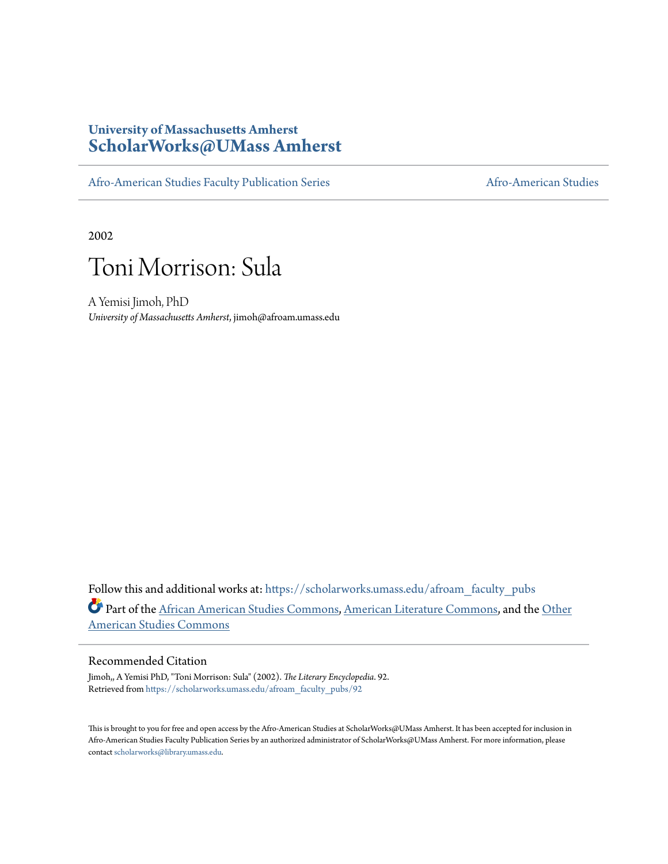### **University of Massachusetts Amherst [ScholarWorks@UMass Amherst](https://scholarworks.umass.edu?utm_source=scholarworks.umass.edu%2Fafroam_faculty_pubs%2F92&utm_medium=PDF&utm_campaign=PDFCoverPages)**

[Afro-American Studies Faculty Publication Series](https://scholarworks.umass.edu/afroam_faculty_pubs?utm_source=scholarworks.umass.edu%2Fafroam_faculty_pubs%2F92&utm_medium=PDF&utm_campaign=PDFCoverPages) [Afro-American Studies](https://scholarworks.umass.edu/afroam?utm_source=scholarworks.umass.edu%2Fafroam_faculty_pubs%2F92&utm_medium=PDF&utm_campaign=PDFCoverPages)

2002



A Yemisi Jimoh, PhD *University of Massachusetts Amherst*, jimoh@afroam.umass.edu

Follow this and additional works at: [https://scholarworks.umass.edu/afroam\\_faculty\\_pubs](https://scholarworks.umass.edu/afroam_faculty_pubs?utm_source=scholarworks.umass.edu%2Fafroam_faculty_pubs%2F92&utm_medium=PDF&utm_campaign=PDFCoverPages) Part of the [African American Studies Commons,](http://network.bepress.com/hgg/discipline/567?utm_source=scholarworks.umass.edu%2Fafroam_faculty_pubs%2F92&utm_medium=PDF&utm_campaign=PDFCoverPages) [American Literature Commons](http://network.bepress.com/hgg/discipline/441?utm_source=scholarworks.umass.edu%2Fafroam_faculty_pubs%2F92&utm_medium=PDF&utm_campaign=PDFCoverPages), and the [Other](http://network.bepress.com/hgg/discipline/445?utm_source=scholarworks.umass.edu%2Fafroam_faculty_pubs%2F92&utm_medium=PDF&utm_campaign=PDFCoverPages) [American Studies Commons](http://network.bepress.com/hgg/discipline/445?utm_source=scholarworks.umass.edu%2Fafroam_faculty_pubs%2F92&utm_medium=PDF&utm_campaign=PDFCoverPages)

#### Recommended Citation

Jimoh,, A Yemisi PhD, "Toni Morrison: Sula" (2002). *The Literary Encyclopedia*. 92. Retrieved from [https://scholarworks.umass.edu/afroam\\_faculty\\_pubs/92](https://scholarworks.umass.edu/afroam_faculty_pubs/92?utm_source=scholarworks.umass.edu%2Fafroam_faculty_pubs%2F92&utm_medium=PDF&utm_campaign=PDFCoverPages)

This is brought to you for free and open access by the Afro-American Studies at ScholarWorks@UMass Amherst. It has been accepted for inclusion in Afro-American Studies Faculty Publication Series by an authorized administrator of ScholarWorks@UMass Amherst. For more information, please contact [scholarworks@library.umass.edu](mailto:scholarworks@library.umass.edu).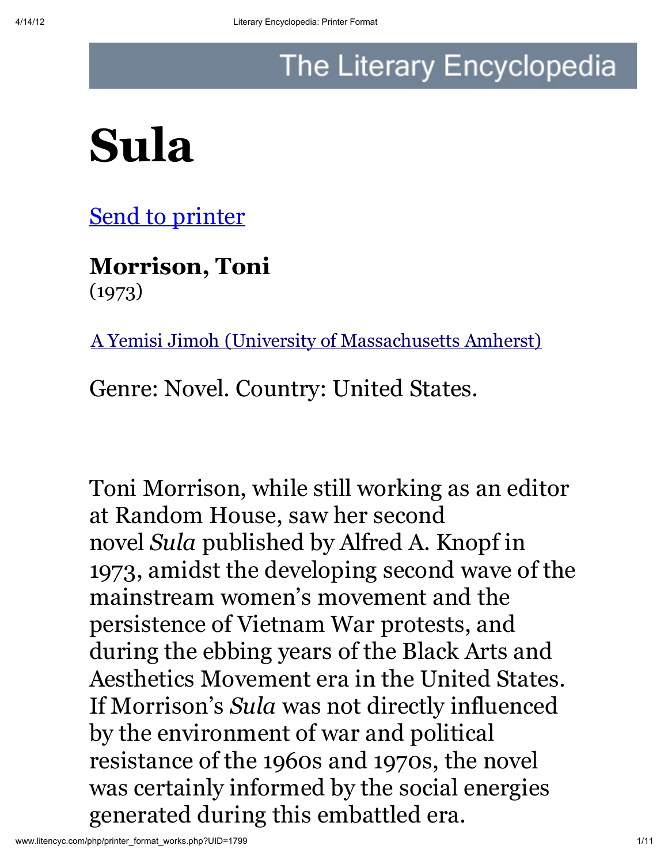## The Literary Encyclopedia

# Sula

**Send to printer** 

Morrison, Toni (1973)

A Yemisi Jimoh (University of Massachusetts Amherst)

Genre: Novel. Country: United States.

Toni Morrison, while still working as an editor at Random House, saw her second novel *Sula* published by Alfred A. Knopf in 1973, amidst the developing second wave of the mainstream women's movement and the persistence of Vietnam War protests, and during the ebbing years of the Black Arts and Aesthetics Movement era in the United States. If Morrison's *Sula* was not directly influenced by the environment of war and political resistance of the 1960s and 1970s, the novel was certainly informed by the social energies generated during this embattled era.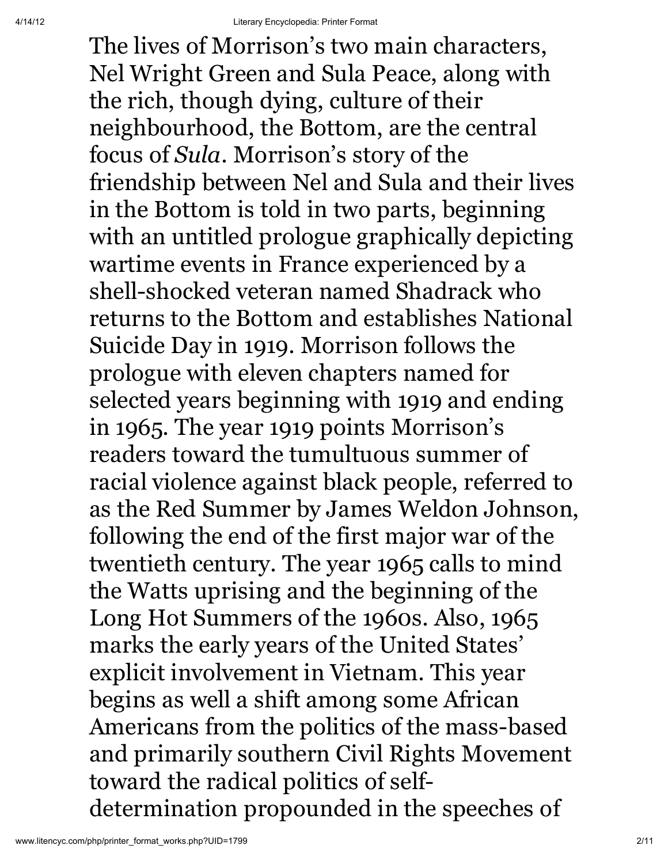The lives of Morrison's two main characters, Nel Wright Green and Sula Peace, along with the rich, though dying, culture of their neighbourhood, the Bottom, are the central focus of *Sula*. Morrison's story of the friendship between Nel and Sula and their lives in the Bottom is told in two parts, beginning with an untitled prologue graphically depicting wartime events in France experienced by a shell-shocked veteran named Shadrack who returns to the Bottom and establishes National Suicide Day in 1919. Morrison follows the prologue with eleven chapters named for selected years beginning with 1919 and ending in 1965. The year 1919 points Morrison's readers toward the tumultuous summer of racial violence against black people, referred to as the Red Summer by James Weldon Johnson, following the end of the first major war of the twentieth century. The year 1965 calls to mind the Watts uprising and the beginning of the Long Hot Summers of the 1960s. Also, 1965 marks the early years of the United States' explicit involvement in Vietnam. This year begins as well a shift among some African Americans from the politics of the mass-based and primarily southern Civil Rights Movement toward the radical politics of selfdetermination propounded in the speeches of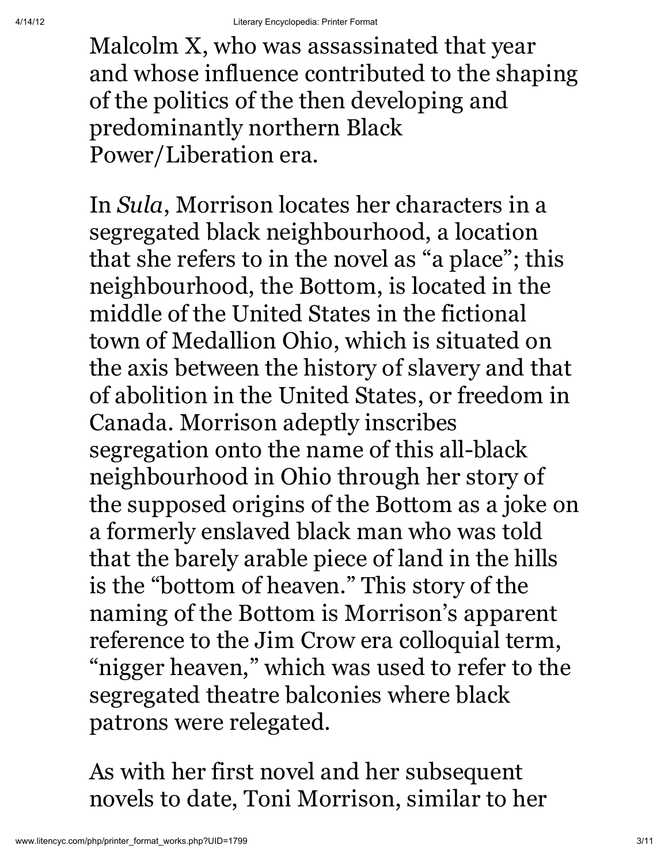Malcolm X, who was assassinated that year and whose influence contributed to the shaping of the politics of the then developing and predominantly northern Black Power/Liberation era.

In *Sula*, Morrison locates her characters in a segregated black neighbourhood, a location that she refers to in the novel as "a place"; this neighbourhood, the Bottom, is located in the middle of the United States in the fictional town of Medallion Ohio, which is situated on the axis between the history of slavery and that of abolition in the United States, or freedom in Canada. Morrison adeptly inscribes segregation onto the name of this all-black neighbourhood in Ohio through her story of the supposed origins of the Bottom as a joke on a formerly enslaved black man who was told that the barely arable piece of land in the hills is the "bottom of heaven." This story of the naming of the Bottom is Morrison's apparent reference to the Jim Crow era colloquial term, "nigger heaven, " which was used to refer to the segregated theatre balconies where black patrons were relegated.

As with her first novel and her subsequent novels to date, Toni Morrison, similar to her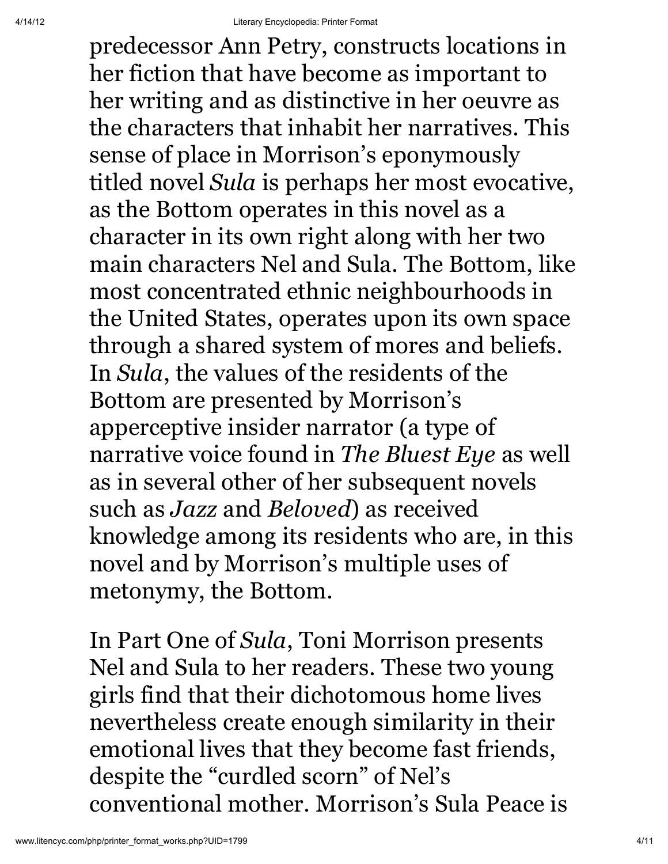predecessor Ann Petry, constructs locations in her fiction that have become as important to her writing and as distinctive in her oeuvre as the characters that inhabit her narratives. This sense of place in Morrison's eponymously titled novel *Sula* is perhaps her most evocative, as the Bottom operates in this novel as a character in its own right along with her two main characters Nel and Sula. The Bottom, like most concentrated ethnic neighbourhoods in the United States, operates upon its own space through a shared system of mores and beliefs. In *Sula*, the values of the residents of the Bottom are presented by Morrison's apperceptive insider narrator (a type of narrative voice found in *The Bluest Eye* as well as in several other of her subsequent novels such as *Jazz* and *Beloved*) as received knowledge among its residents who are, in this novel and by Morrison's multiple uses of metonymy, the Bottom.

In Part One of *Sula*, Toni Morrison presents Nel and Sula to her readers. These two young girls find that their dichotomous home lives nevertheless create enough similarity in their emotional lives that they become fast friends, despite the "curdled scorn" of Nel's conventional mother. Morrison's Sula Peace is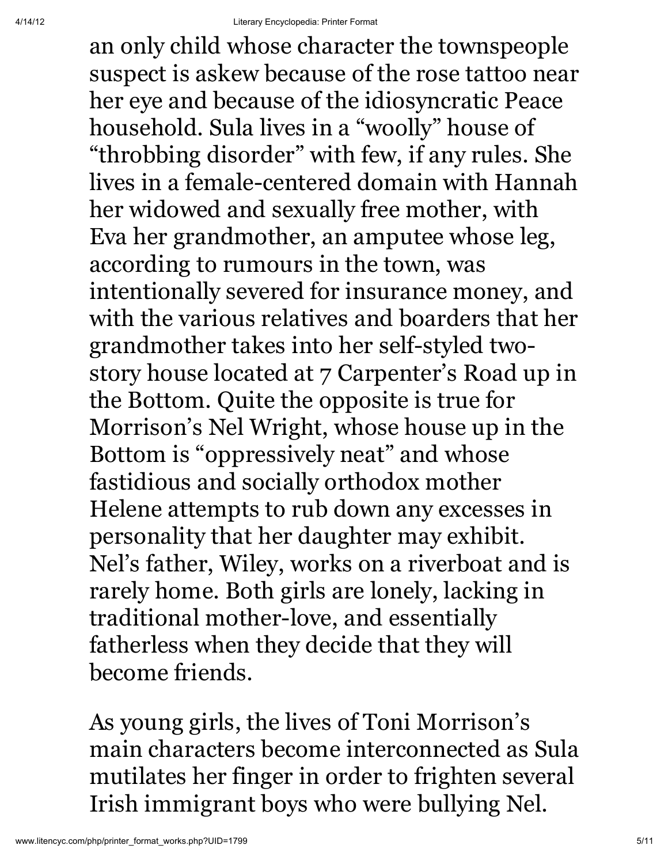an only child whose character the townspeople suspect is askew because of the rose tattoo near her eye and because of the idiosyncratic Peace household. Sula lives in a "woolly" house of "throbbing disorder" with few, if any rules. She lives in a female-centered domain with Hannah her widowed and sexually free mother, with Eva her grandmother, an amputee whose leg, according to rumours in the town, was intentionally severed for insurance money, and with the various relatives and boarders that her grandmother takes into her self-styled twostory house located at 7 Carpenter's Road up in the Bottom. Quite the opposite is true for Morrison's Nel Wright, whose house up in the Bottom is "oppressively neat" and whose fastidious and socially orthodox mother Helene attempts to rub down any excesses in personality that her daughter may exhibit. Nel's father, Wiley, works on a riverboat and is rarely home. Both girls are lonely, lacking in traditional mother-love, and essentially fatherless when they decide that they will become friends.

As young girls, the lives of Toni Morrison's main characters become interconnected as Sula mutilates her finger in order to frighten several Irish immigrant boys who were bullying Nel.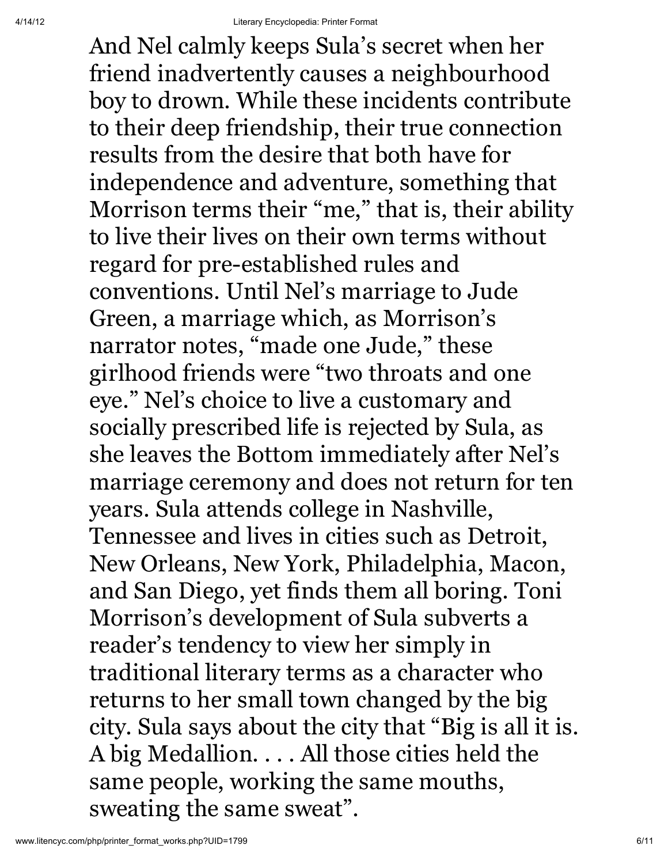And Nel calmly keeps Sula's secret when her friend inadvertently causes a neighbourhood boy to drown. While these incidents contribute to their deep friendship, their true connection results from the desire that both have for independence and adventure, something that Morrison terms their "me, " that is, their ability to live their lives on their own terms without regard for pre-established rules and conventions. Until Nel's marriage to Jude Green, a marriage which, as Morrison's narrator notes, "made one Jude, " these girlhood friends were "two throats and one eye." Nel's choice to live a customary and socially prescribed life is rejected by Sula, as she leaves the Bottom immediately after Nel's marriage ceremony and does not return for ten years. Sula attends college in Nashville, Tennessee and lives in cities such as Detroit, New Orleans, New York, Philadelphia, Macon, and San Diego, yet finds them all boring. Toni Morrison's development of Sula subverts a reader's tendency to view her simply in traditional literary terms as a character who returns to her small town changed by the big city. Sula says about the city that "Big is all it is. A big Medallion. . . . All those cities held the same people, working the same mouths, sweating the same sweat".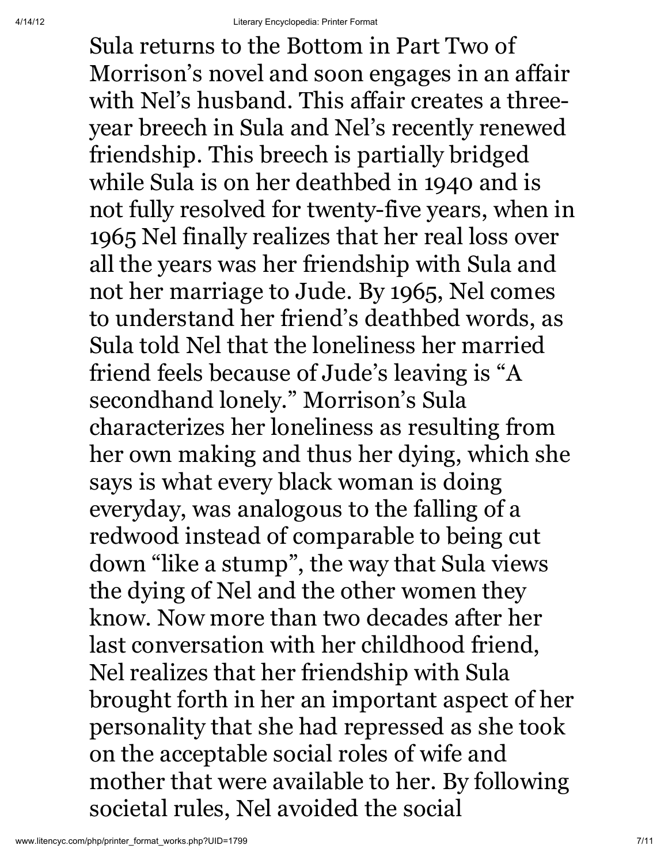Sula returns to the Bottom in Part Two of Morrison's novel and soon engages in an affair with Nel's husband. This affair creates a threeyear breech in Sula and Nel's recently renewed friendship. This breech is partially bridged while Sula is on her deathbed in 1940 and is not fully resolved for twenty-five years, when in 1965 Nel finally realizes that her real loss over all the years was her friendship with Sula and not her marriage to Jude. By 1965, Nel comes to understand her friend's deathbed words, as Sula told Nel that the loneliness her married friend feels because of Jude's leaving is "A secondhand lonely." Morrison's Sula characterizes her loneliness as resulting from her own making and thus her dying, which she says is what every black woman is doing everyday, was analogous to the falling of a redwood instead of comparable to being cut down "like a stump" , the way that Sula views the dying of Nel and the other women they know. Now more than two decades after her last conversation with her childhood friend, Nel realizes that her friendship with Sula brought forth in her an important aspect of her personality that she had repressed as she took on the acceptable social roles of wife and mother that were available to her. By following societal rules, Nel avoided the social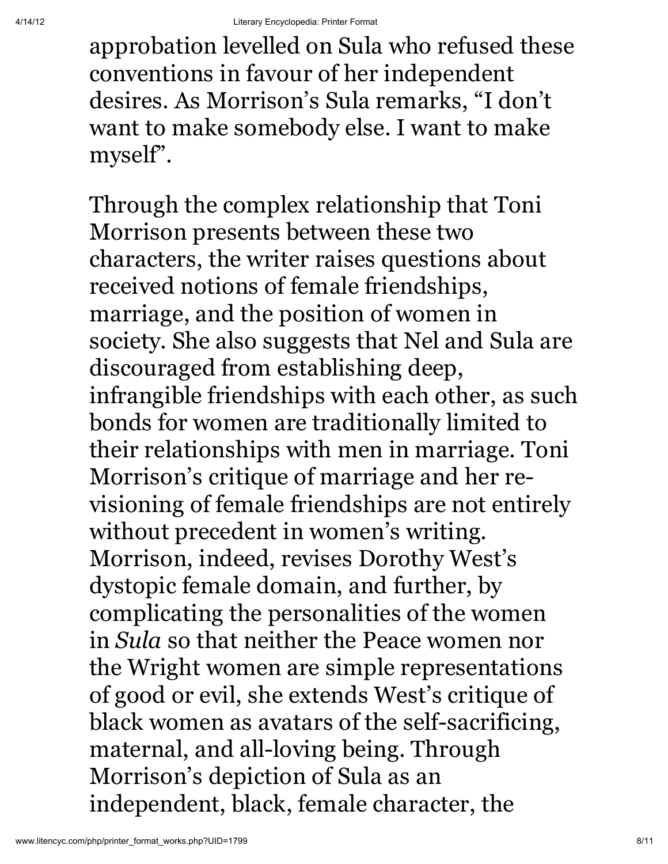approbation levelled on Sula who refused these conventions in favour of her independent desires. As Morrison's Sula remarks, "I don't want to make somebody else. I want to make myself".

Through the complex relationship that Toni Morrison presents between these two characters, the writer raises questions about received notions of female friendships, marriage, and the position of women in society. She also suggests that Nel and Sula are discouraged from establishing deep, infrangible friendships with each other, as such bonds for women are traditionally limited to their relationships with men in marriage. Toni Morrison's critique of marriage and her revisioning of female friendships are not entirely without precedent in women's writing. Morrison, indeed, revises Dorothy West's dystopic female domain, and further, by complicating the personalities of the women in *Sula* so that neither the Peace women nor the Wright women are simple representations of good or evil, she extends West's critique of black women as avatars of the self-sacrificing, maternal, and all-loving being. Through Morrison's depiction of Sula as an independent, black, female character, the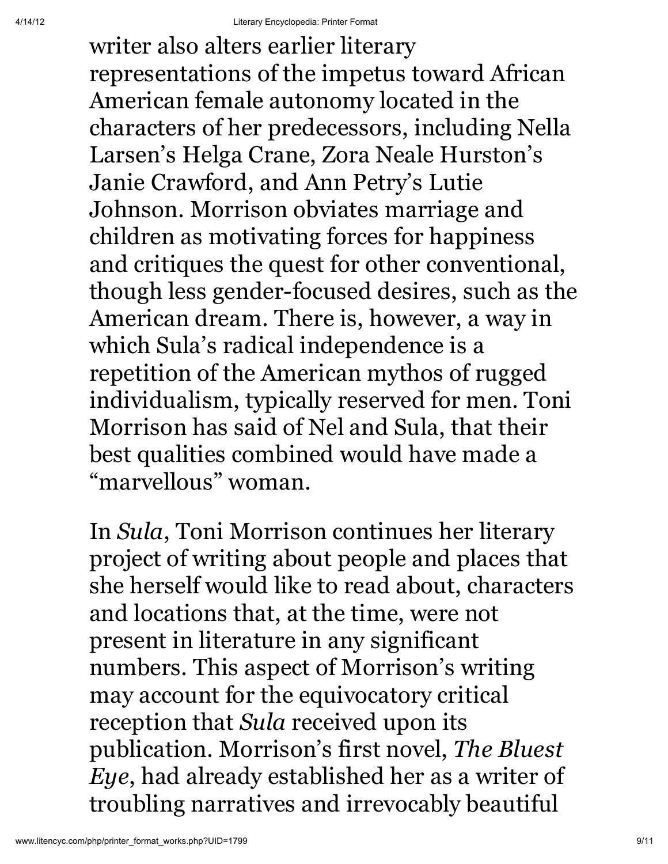writer also alters earlier literary representations of the impetus toward African American female autonomy located in the characters of her predecessors, including Nella Larsen's Helga Crane, Zora Neale Hurston's Janie Crawford, and Ann Petry's Lutie Johnson. Morrison obviates marriage and children as motivating forces for happiness and critiques the quest for other conventional, though less gender-focused desires, such as the American dream. There is, however, a way in which Sula's radical independence is a repetition of the American mythos of rugged individualism, typically reserved for men. Toni Morrison has said of Nel and Sula, that their best qualities combined would have made a "marvellous" woman.

In *Sula*, Toni Morrison continues her literary project of writing about people and places that she herself would like to read about, characters and locations that, at the time, were not present in literature in any significant numbers. This aspect of Morrison's writing may account for the equivocatory critical reception that *Sula* received upon its publication. Morrison's first novel, *The Bluest Eye*, had already established her as a writer of troubling narratives and irrevocably beautiful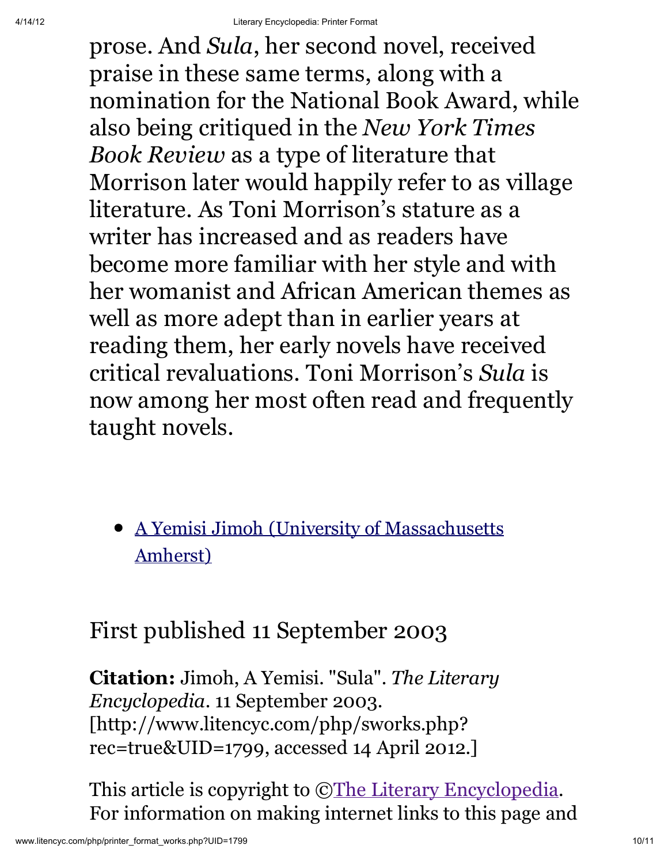prose. And *Sula*, her second novel, received praise in these same terms, along with a nomination for the National Book Award, while also being critiqued in the *New York Times Book Review* as a type of literature that Morrison later would happily refer to as village literature. As Toni Morrison's stature as a writer has increased and as readers have become more familiar with her style and with her womanist and African American themes as well as more adept than in earlier years at reading them, her early novels have received critical revaluations. Toni Morrison's *Sula* is now among her most often read and frequently taught novels.

A Yemisi Jimoh (University of Massachusetts Amherst)

### First published 11 September 2003

Citation: Jimoh, A Yemisi. "Sula". *The Literary Encyclopedia*. 11 September 2003. [http://www.litencyc.com/php/sworks.php? rec=true&UID=1799, accessed 14 April 2012.]

This article is copyright to  $\mathbb{C}$ The Literary Encyclopedia. For information on making internet links to this page and